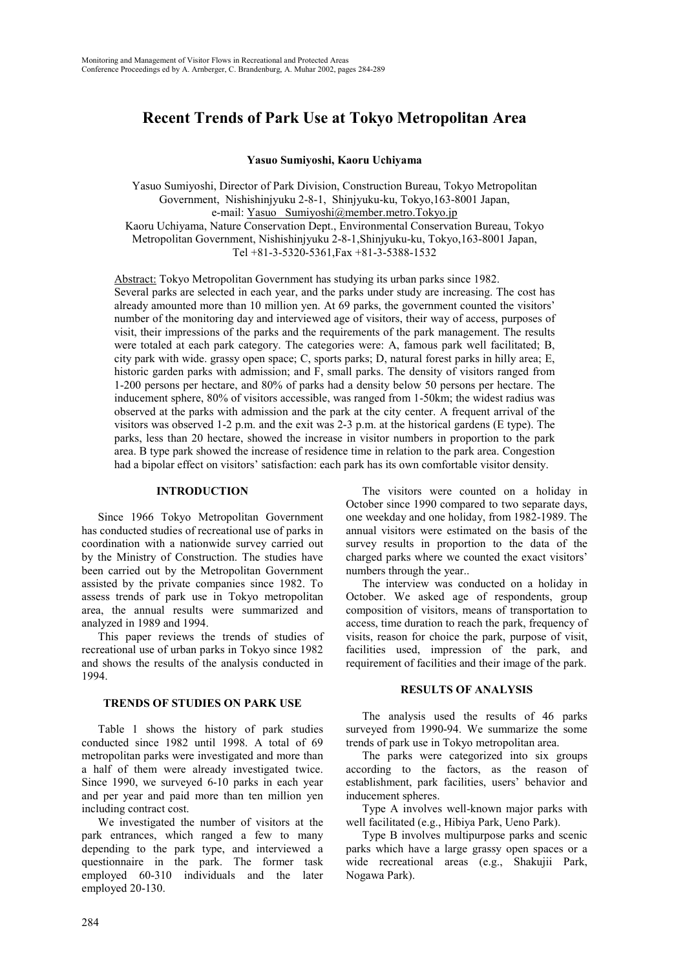# **Recent Trends of Park Use at Tokyo Metropolitan Area**

**Yasuo Sumiyoshi, Kaoru Uchiyama**

Yasuo Sumiyoshi, Director of Park Division, Construction Bureau, Tokyo Metropolitan Government, Nishishinjyuku 2-8-1, Shinjyuku-ku, Tokyo,163-8001 Japan, e-mail: Yasuo\_ Sumiyoshi@member.metro.Tokyo.jp Kaoru Uchiyama, Nature Conservation Dept., Environmental Conservation Bureau, Tokyo Metropolitan Government, Nishishinjyuku 2-8-1,Shinjyuku-ku, Tokyo,163-8001 Japan, Tel +81-3-5320-5361,Fax +81-3-5388-1532

Abstract: Tokyo Metropolitan Government has studying its urban parks since 1982.

Several parks are selected in each year, and the parks under study are increasing. The cost has already amounted more than 10 million yen. At 69 parks, the government counted the visitors' number of the monitoring day and interviewed age of visitors, their way of access, purposes of visit, their impressions of the parks and the requirements of the park management. The results were totaled at each park category. The categories were: A, famous park well facilitated; B, city park with wide. grassy open space; C, sports parks; D, natural forest parks in hilly area; E, historic garden parks with admission; and F, small parks. The density of visitors ranged from 1-200 persons per hectare, and 80% of parks had a density below 50 persons per hectare. The inducement sphere, 80% of visitors accessible, was ranged from 1-50km; the widest radius was observed at the parks with admission and the park at the city center. A frequent arrival of the visitors was observed 1-2 p.m. and the exit was 2-3 p.m. at the historical gardens (E type). The parks, less than 20 hectare, showed the increase in visitor numbers in proportion to the park area. B type park showed the increase of residence time in relation to the park area. Congestion had a bipolar effect on visitors' satisfaction: each park has its own comfortable visitor density.

#### **INTRODUCTION**

Since 1966 Tokyo Metropolitan Government has conducted studies of recreational use of parks in coordination with a nationwide survey carried out by the Ministry of Construction. The studies have been carried out by the Metropolitan Government assisted by the private companies since 1982. To assess trends of park use in Tokyo metropolitan area, the annual results were summarized and analyzed in 1989 and 1994.

This paper reviews the trends of studies of recreational use of urban parks in Tokyo since 1982 and shows the results of the analysis conducted in 1994.

#### **TRENDS OF STUDIES ON PARK USE**

Table 1 shows the history of park studies conducted since 1982 until 1998. A total of 69 metropolitan parks were investigated and more than a half of them were already investigated twice. Since 1990, we surveyed 6-10 parks in each year and per year and paid more than ten million yen including contract cost.

We investigated the number of visitors at the park entrances, which ranged a few to many depending to the park type, and interviewed a questionnaire in the park. The former task employed 60-310 individuals and the later employed 20-130.

The visitors were counted on a holiday in October since 1990 compared to two separate days, one weekday and one holiday, from 1982-1989. The annual visitors were estimated on the basis of the survey results in proportion to the data of the charged parks where we counted the exact visitors' numbers through the year..

The interview was conducted on a holiday in October. We asked age of respondents, group composition of visitors, means of transportation to access, time duration to reach the park, frequency of visits, reason for choice the park, purpose of visit, facilities used, impression of the park, and requirement of facilities and their image of the park.

#### **RESULTS OF ANALYSIS**

The analysis used the results of 46 parks surveyed from 1990-94. We summarize the some trends of park use in Tokyo metropolitan area.

The parks were categorized into six groups according to the factors, as the reason of establishment, park facilities, users' behavior and inducement spheres.

Type A involves well-known major parks with well facilitated (e.g., Hibiya Park, Ueno Park).

Type B involves multipurpose parks and scenic parks which have a large grassy open spaces or a wide recreational areas (e.g., Shakujii Park, Nogawa Park).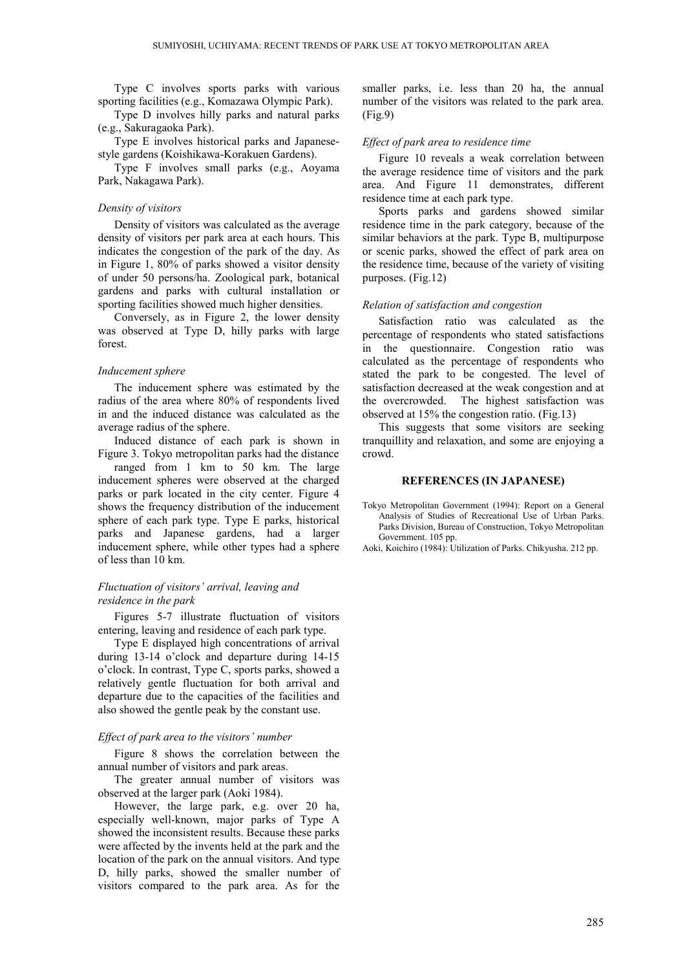Type C involves sports parks with various sporting facilities (e.g., Komazawa Olympic Park).

Type D involves hilly parks and natural parks (e.g., Sakuragaoka Park).

Type E involves historical parks and Japanesestyle gardens (Koishikawa-Korakuen Gardens).

Type F involves small parks (e.g., Aoyama Park, Nakagawa Park).

#### *Density of visitors*

Density of visitors was calculated as the average density of visitors per park area at each hours. This indicates the congestion of the park of the day. As in Figure 1, 80% of parks showed a visitor density of under 50 persons/ha. Zoological park, botanical gardens and parks with cultural installation or sporting facilities showed much higher densities.

Conversely, as in Figure 2, the lower density was observed at Type D, hilly parks with large forest.

#### *Inducement sphere*

The inducement sphere was estimated by the radius of the area where 80% of respondents lived in and the induced distance was calculated as the average radius of the sphere.

Induced distance of each park is shown in Figure 3. Tokyo metropolitan parks had the distance

ranged from 1 km to 50 km. The large inducement spheres were observed at the charged parks or park located in the city center. Figure 4 shows the frequency distribution of the inducement sphere of each park type. Type E parks, historical parks and Japanese gardens, had a larger inducement sphere, while other types had a sphere of less than 10 km.

### *Fluctuation of visitors' arrival, leaving and residence in the park*

Figures 5-7 illustrate fluctuation of visitors entering, leaving and residence of each park type.

Type E displayed high concentrations of arrival during 13-14 o'clock and departure during 14-15 o'clock. In contrast, Type C, sports parks, showed a relatively gentle fluctuation for both arrival and departure due to the capacities of the facilities and also showed the gentle peak by the constant use.

#### *Effect of park area to the visitors' number*

Figure 8 shows the correlation between the annual number of visitors and park areas.

The greater annual number of visitors was observed at the larger park (Aoki 1984).

However, the large park, e.g. over 20 ha, especially well-known, major parks of Type A showed the inconsistent results. Because these parks were affected by the invents held at the park and the location of the park on the annual visitors. And type D, hilly parks, showed the smaller number of visitors compared to the park area. As for the smaller parks, i.e. less than 20 ha, the annual number of the visitors was related to the park area. (Fig.9)

#### *Effect of park area to residence time*

Figure 10 reveals a weak correlation between the average residence time of visitors and the park area. And Figure 11 demonstrates, different residence time at each park type.

Sports parks and gardens showed similar residence time in the park category, because of the similar behaviors at the park. Type B, multipurpose or scenic parks, showed the effect of park area on the residence time, because of the variety of visiting purposes. (Fig.12)

#### *Relation of satisfaction and congestion*

Satisfaction ratio was calculated as the percentage of respondents who stated satisfactions in the questionnaire. Congestion ratio was calculated as the percentage of respondents who stated the park to be congested. The level of satisfaction decreased at the weak congestion and at the overcrowded. The highest satisfaction was observed at 15% the congestion ratio. (Fig.13)

This suggests that some visitors are seeking tranquillity and relaxation, and some are enjoying a crowd.

#### **REFERENCES (IN JAPANESE)**

Tokyo Metropolitan Government (1994): Report on a General Analysis of Studies of Recreational Use of Urban Parks. Parks Division, Bureau of Construction, Tokyo Metropolitan Government. 105 pp.

Aoki, Koichiro (1984): Utilization of Parks. Chikyusha. 212 pp.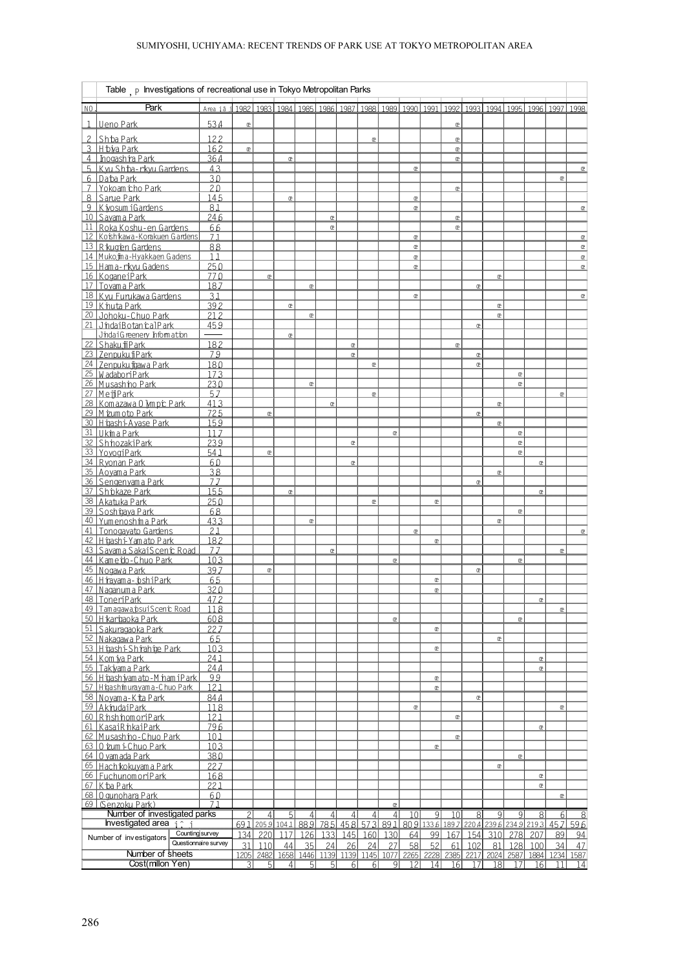## SUMIYOSHI, UCHIYAMA: RECENT TRENDS OF PARK USE AT TOKYO METROPOLITAN AREA

|                                            | Table $\mathsf{p}$ Investigations of recreational use in Tokyo Metropolitan Parks |             |                |                            |                |            |                |                |                  |                                  |                 |                   |                                                                                 |              |                 |                       |                |                 |                    |
|--------------------------------------------|-----------------------------------------------------------------------------------|-------------|----------------|----------------------------|----------------|------------|----------------|----------------|------------------|----------------------------------|-----------------|-------------------|---------------------------------------------------------------------------------|--------------|-----------------|-----------------------|----------------|-----------------|--------------------|
| N <sub>0</sub>                             | Park                                                                              | Area iâ i   |                |                            |                |            |                |                |                  |                                  |                 |                   | 1982 1983 1984 1985 1986 1987 1988 1989 1990 1991 1992 1993 1994 1995 1996 1997 |              |                 |                       |                |                 | 1998               |
| 1                                          | Ueno Park                                                                         | 53.4        | $^\circledR$   |                            |                |            |                |                |                  |                                  |                 |                   | œ                                                                               |              |                 |                       |                |                 |                    |
|                                            | Shba Park                                                                         | 122         |                |                            |                |            |                |                | œ                |                                  |                 |                   | œ                                                                               |              |                 |                       |                |                 |                    |
|                                            | 3 H biya Park                                                                     | 162         | $\mathbbm{C}$  |                            |                |            |                |                |                  |                                  |                 |                   | œ                                                                               |              |                 |                       |                |                 |                    |
|                                            | 4 Inogashira Park<br>5 Kvu Sh ba-rkvu Gardens                                     | 364<br>43   |                |                            | $\,$ @         |            |                |                |                  |                                  | œ               |                   | œ                                                                               |              |                 |                       |                |                 | $^\circledR$       |
|                                            | 6 Daba Park                                                                       | 30          |                |                            |                |            |                |                |                  |                                  |                 |                   |                                                                                 |              |                 |                       |                | œ               |                    |
|                                            | 7 Yokoam icho Park                                                                | 20          |                |                            |                |            |                |                |                  |                                  |                 |                   | œ                                                                               |              |                 |                       |                |                 |                    |
|                                            | 8 Sarue Park<br>9 Kivosum iGardens                                                | 145<br>81   |                |                            | œ              |            |                |                |                  |                                  | œ<br>œ          |                   |                                                                                 |              |                 |                       |                |                 | œ                  |
|                                            | 10 Savam a Park                                                                   | 246         |                |                            |                |            | $\mathbb{C}$   |                |                  |                                  |                 |                   | œ                                                                               |              |                 |                       |                |                 |                    |
|                                            | 11 Roka Koshu-en Gardens                                                          | 66          |                |                            |                |            | $^\circledR$   |                |                  |                                  |                 |                   | œ                                                                               |              |                 |                       |                |                 |                    |
|                                            | 12 Koshikawa-Korakuen Gardens<br>13 R kugen Gardens                               | 7.1<br>88   |                |                            |                |            |                |                |                  |                                  | œ<br>œ          |                   |                                                                                 |              |                 |                       |                |                 | œ<br>$\mathbbm{C}$ |
|                                            | 14 Muko jina-Hyakkaen Gadens                                                      | 1.1         |                |                            |                |            |                |                |                  |                                  | œ               |                   |                                                                                 |              |                 |                       |                |                 | $^\circledR$       |
|                                            | 15 Hama-rkvu Gadens                                                               | 250         |                |                            |                |            |                |                |                  |                                  | œ               |                   |                                                                                 |              |                 |                       |                |                 | $^\circledR$       |
|                                            | 16 KoganeiPark<br>17 Tovam a Park                                                 | 770<br>187  |                | œ                          |                | $^{\circ}$ |                |                |                  |                                  |                 |                   |                                                                                 | $\mathbb{C}$ | $\mathbb{C}$    |                       |                |                 |                    |
|                                            | 18 Kyu Furukawa Gardens                                                           | 31          |                |                            |                |            |                |                |                  |                                  | œ               |                   |                                                                                 |              |                 |                       |                |                 | œ                  |
|                                            | 19 K nuta Park                                                                    | 392         |                |                            | œ              |            |                |                |                  |                                  |                 |                   |                                                                                 |              | $\,$ @          |                       |                |                 |                    |
|                                            | 20 Johoku-Chuo Park<br>21 JindaiBotan calPark                                     | 212<br>459  |                |                            |                | œ          |                |                |                  |                                  |                 |                   |                                                                                 | $\mathbf{C}$ | œ               |                       |                |                 |                    |
|                                            | JindaiG reenery Information                                                       |             |                |                            | $\,$ @         |            |                |                |                  |                                  |                 |                   |                                                                                 |              |                 |                       |                |                 |                    |
|                                            | 22 Shaku ii Park                                                                  | 182         |                |                            |                |            |                | $\mathbb{C}$   |                  |                                  |                 |                   | $\mathbb{C}$                                                                    |              |                 |                       |                |                 |                    |
|                                            | 23 Zenpuku i Park<br>24 Zenpuku jiawa Park                                        | 79          |                |                            |                |            |                | $^{\circ}$     |                  |                                  |                 |                   |                                                                                 | œ            |                 |                       |                |                 |                    |
|                                            | 25 W adabori Park                                                                 | 180<br>173  |                |                            |                |            |                |                | œ                |                                  |                 |                   |                                                                                 | œ            |                 | œ                     |                |                 |                    |
|                                            | 26 Musashino Park                                                                 | 230         |                |                            |                | œ          |                |                |                  |                                  |                 |                   |                                                                                 |              |                 | œ                     |                |                 |                    |
|                                            | 27 MeiiPark                                                                       | 57          |                |                            |                |            |                |                | œ                |                                  |                 |                   |                                                                                 |              |                 |                       |                | œ               |                    |
|                                            | 28 Kom azawa 0 Mm pr Park<br>29 M zum oto Park                                    | 413<br>725  |                | œ                          |                |            | $\mathbb{C}$   |                |                  |                                  |                 |                   |                                                                                 | $^\circledR$ | $\mathbbm{C}$   |                       |                |                 |                    |
|                                            | 30 Htiashi-Avase Park                                                             | 159         |                |                            |                |            |                |                |                  |                                  |                 |                   |                                                                                 |              | œ               |                       |                |                 |                    |
|                                            | 31 Ukima Park                                                                     | 117         |                |                            |                |            |                |                |                  | œ                                |                 |                   |                                                                                 |              |                 | œ                     |                |                 |                    |
|                                            | 32 ShinozakiPark<br>33 YovogiPark                                                 | 239<br>54.1 |                | $^{\circ}$                 |                |            |                | $\mathbb{C}$   |                  |                                  |                 |                   |                                                                                 |              |                 | œ<br>œ                |                |                 |                    |
|                                            | 34 R vonan Park                                                                   | 60          |                |                            |                |            |                | $\mathbb{C}$   |                  |                                  |                 |                   |                                                                                 |              |                 |                       | $\mathbf{c}$   |                 |                    |
|                                            | 35 Aovam a Park                                                                   | 38          |                |                            |                |            |                |                |                  |                                  |                 |                   |                                                                                 |              | œ               |                       |                |                 |                    |
|                                            | 36 Sengenyama Park<br>37 Shipkaze Park                                            | 77<br>155   |                |                            | œ              |            |                |                |                  |                                  |                 |                   |                                                                                 | $^\circledR$ |                 |                       | $\mathbb{C}$   |                 |                    |
|                                            | 38 Akatuka Park                                                                   | 250         |                |                            |                |            |                |                | œ                |                                  |                 | œ                 |                                                                                 |              |                 |                       |                |                 |                    |
|                                            | 39 Soshtgaya Park                                                                 | 68          |                |                            |                |            |                |                |                  |                                  |                 |                   |                                                                                 |              |                 | $^{\circ}$            |                |                 |                    |
|                                            | 40 Yumenoshina Park<br>41 Tonogayato Gardens                                      | 433<br>21   |                |                            |                | œ          |                |                |                  |                                  | $\mathbb{C}$    |                   |                                                                                 |              | $\mathbbm{C}$   |                       |                |                 | $^\circledR$       |
|                                            | 42 H taash i Yam ato Park                                                         | 182         |                |                            |                |            |                |                |                  |                                  |                 | œ                 |                                                                                 |              |                 |                       |                |                 |                    |
|                                            | 43 Savama SakaiScenic Road                                                        | 77          |                |                            |                |            | œ              |                |                  |                                  |                 |                   |                                                                                 |              |                 |                       |                | œ               |                    |
|                                            | 44 Kameto-Chuo Park<br>45 Nogawa Park                                             | 10.3<br>397 |                | œ                          |                |            |                |                |                  | œ                                |                 |                   |                                                                                 | $\mathbb{C}$ |                 | œ                     |                |                 |                    |
|                                            | 46 Hirayama- ishiPark                                                             | 65          |                |                            |                |            |                |                |                  |                                  |                 | œ                 |                                                                                 |              |                 |                       |                |                 |                    |
|                                            | 47 Naganum a Park                                                                 | 320         |                |                            |                |            |                |                |                  |                                  |                 | œ                 |                                                                                 |              |                 |                       |                |                 |                    |
|                                            | 48 ToneriPark<br>49 Tamagawa.psuiScenic Road                                      | 472<br>118  |                |                            |                |            |                |                |                  |                                  |                 |                   |                                                                                 |              |                 |                       | $\mathbb{C}$   | œ               |                    |
|                                            | 50 H kargaoka Park                                                                | 608         |                |                            |                |            |                |                |                  | $^{\circ}$                       |                 |                   |                                                                                 |              |                 | œ                     |                |                 |                    |
|                                            | 51 Sakuragaoka Park                                                               | 227         |                |                            |                |            |                |                |                  |                                  |                 | $\mathbf{c}$      |                                                                                 |              |                 |                       |                |                 |                    |
|                                            | 52 Nakagawa Park<br>53 H tashi-Shimhtie Park                                      | 65<br>10.3  |                |                            |                |            |                |                |                  |                                  |                 | $^\circledR$      |                                                                                 |              | $\mathbbm{C}$   |                       |                |                 |                    |
|                                            | 54 Kom iva Park                                                                   | 241         |                |                            |                |            |                |                |                  |                                  |                 |                   |                                                                                 |              |                 |                       | œ              |                 |                    |
|                                            | 55 Takiyam a Park                                                                 | 24.4        |                |                            |                |            |                |                |                  |                                  |                 |                   |                                                                                 |              |                 |                       | $^\circledR$   |                 |                    |
|                                            | 56 H gash yam ato - M nam iP ark<br>57 Higashimurayama-Chuo Park                  | 99<br>121   |                |                            |                |            |                |                |                  |                                  |                 | $\mathbf{C}$<br>œ |                                                                                 |              |                 |                       |                |                 |                    |
|                                            | 58 Novam a - K ita P ark                                                          | 844         |                |                            |                |            |                |                |                  |                                  |                 |                   |                                                                                 | $^\circledR$ |                 |                       |                |                 |                    |
|                                            | 59 AknudaiPark                                                                    | 118         |                |                            |                |            |                |                |                  |                                  | $\mathbb{C}$    |                   |                                                                                 |              |                 |                       |                | $\mathbb{C}$    |                    |
|                                            | 60 RinshinomoriPark                                                               | 12.1        |                |                            |                |            |                |                |                  |                                  |                 |                   | œ                                                                               |              |                 |                       |                |                 |                    |
|                                            | 61 KasaiR nkaiPark<br>62 Musashino-Chuo Park                                      | 796<br>10.1 |                |                            |                |            |                |                |                  |                                  |                 |                   | œ                                                                               |              |                 |                       | œ              |                 |                    |
|                                            | $63$ 0 $\overline{v}$ um $\overline{v}$ Chuo Park                                 | 103         |                |                            |                |            |                |                |                  |                                  |                 | $\mathbf{c}$      |                                                                                 |              |                 |                       |                |                 |                    |
|                                            | 64 O vam ada Park                                                                 | 38.0        |                |                            |                |            |                |                |                  |                                  |                 |                   |                                                                                 |              |                 | œ                     |                |                 |                    |
|                                            | 65 Hach kokuvam a Park<br>66 EuchunomoriPark                                      | 227<br>168  |                |                            |                |            |                |                |                  |                                  |                 |                   |                                                                                 |              | $\mathbb{C}$    |                       | œ              |                 |                    |
|                                            | 67 K ba Park                                                                      | 221         |                |                            |                |            |                |                |                  |                                  |                 |                   |                                                                                 |              |                 |                       | $\mathbb{C}$   |                 |                    |
|                                            | 68 0 qunohara Park                                                                | 60          |                |                            |                |            |                |                |                  |                                  |                 |                   |                                                                                 |              |                 |                       |                | $\mathbb{C}$    |                    |
|                                            | 69 (Senzoku Park)<br>71<br>Number of investigated parks                           |             | $\overline{2}$ | 4                          | 5 <sup>1</sup> | 4          | 4 <sub>1</sub> | 4 <sup>1</sup> | $\left 4\right $ | $\mathbb{R}$<br> 4               | 10 <sup>1</sup> | $\overline{9}$    | 10 <sup>1</sup>                                                                 | 8            | 9               | 9                     | 8 <sup>1</sup> | 6               | -8                 |
| Investigated area $i \uparrow i$           |                                                                                   |             |                |                            |                |            |                |                |                  |                                  |                 |                   | 691 2059 1041 889 785 458 573 891 809 1336 1897 2204 2396 2349 2193 457         |              |                 |                       |                |                 | 596                |
| Counting survey<br>Number of investigators |                                                                                   | 134         | 220            | 117                        | 126            | 133        | 145            |                | 160 130          | 64                               | -99             | 167               | 154                                                                             |              | 310 278         | 207                   | 89             | 94              |                    |
| Questionnaire survey<br>Number of sheets   |                                                                                   |             | 31             | 110<br>1205 2482 1658 1446 | 44             | 35         | 24             | 26             | 24               | <b>27</b><br>1139 1139 1145 1077 | 58<br>2265      | 52<br>2228        | 61<br>2385                                                                      | 102          | 81              | 128<br>2217 2024 2587 | 100            | 34<br>1884 1234 | 47<br>1587         |
|                                            | Cost(millon Yen)                                                                  |             | २              | ц                          | $\mathbf{A}$   | 5          | 되              | 6 <sup>1</sup> | 6 <sup>1</sup>   | $\vert$                          | 12              | 14                | 16                                                                              | 17           | 18 <sup>1</sup> | 17                    | 16             | 11              | 14                 |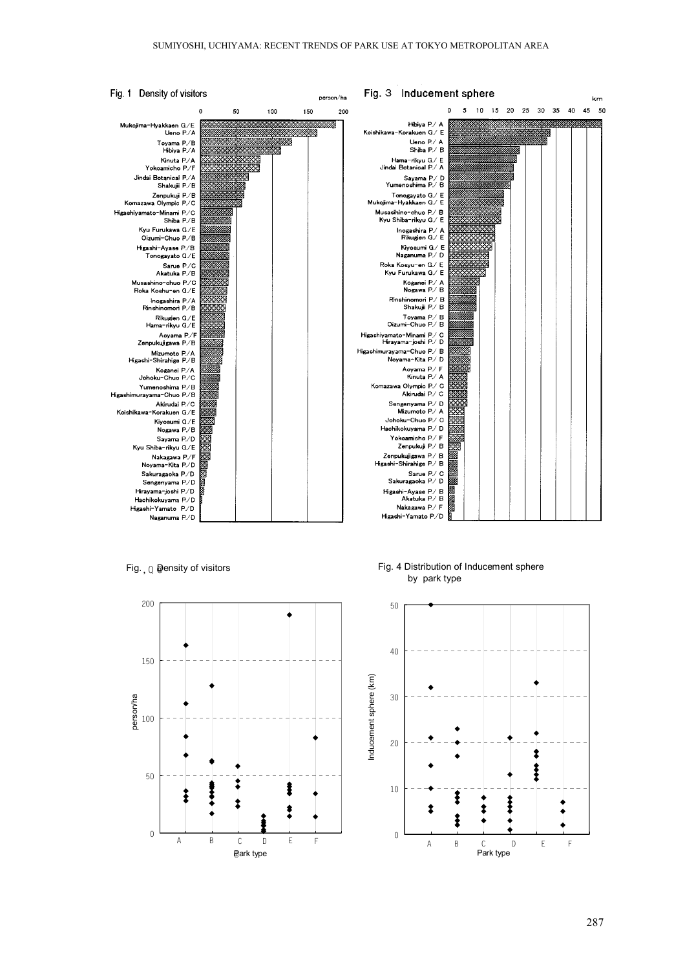

Fig. ,  $\textcolor{black}{\text{Q}}$  @ensity of visitors



Fig. 4 Distribution of Inducement sphere by park type

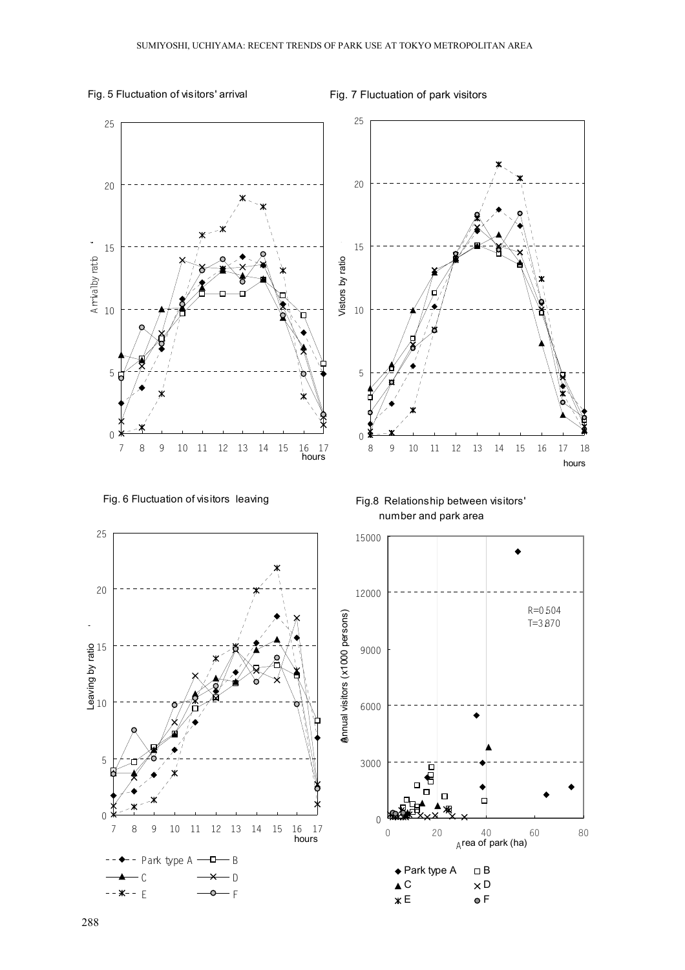## Fig. 5 Fluctuation of visitors' arrival

Fig. 7 Fluctuation of park visitors